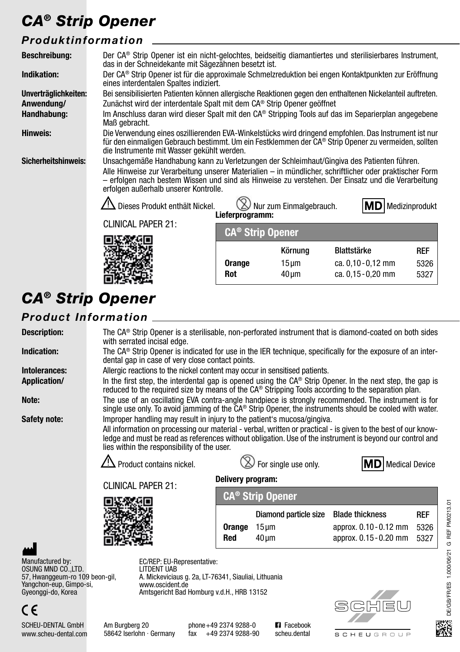# *CA® Strip Opener*

### *Produktinformation*

| <b>Beschreibung:</b> | Der CA® Strip Opener ist ein nicht-gelochtes, beidseitig diamantiertes und sterilisierbares Instrument,<br>das in der Schneidekante mit Sägezähnen besetzt ist.                                                                                                                                                                                                                                                                            |        |            |                    |      |  |
|----------------------|--------------------------------------------------------------------------------------------------------------------------------------------------------------------------------------------------------------------------------------------------------------------------------------------------------------------------------------------------------------------------------------------------------------------------------------------|--------|------------|--------------------|------|--|
| Indikation:          | Der CA® Strip Opener ist für die approximale Schmelzreduktion bei engen Kontaktpunkten zur Eröffnung<br>eines interdentalen Spaltes indiziert.                                                                                                                                                                                                                                                                                             |        |            |                    |      |  |
| Unverträglichkeiten: | Bei sensibilisierten Patienten können allergische Reaktionen gegen den enthaltenen Nickelanteil auftreten.                                                                                                                                                                                                                                                                                                                                 |        |            |                    |      |  |
| Anwendung/           | Zunächst wird der interdentale Spalt mit dem CA® Strip Opener geöffnet                                                                                                                                                                                                                                                                                                                                                                     |        |            |                    |      |  |
| Handhabung:          | Im Anschluss daran wird dieser Spalt mit den CA® Stripping Tools auf das im Separierplan angegebene<br>Maß gebracht.                                                                                                                                                                                                                                                                                                                       |        |            |                    |      |  |
| Hinweis:             | Die Verwendung eines oszillierenden EVA-Winkelstücks wird dringend empfohlen. Das Instrument ist nur<br>für den einmaligen Gebrauch bestimmt. Um ein Festklemmen der CA® Strip Opener zu vermeiden, sollten<br>die Instrumente mit Wasser gekühlt werden.                                                                                                                                                                                  |        |            |                    |      |  |
| Sicherheitshinweis:  | Unsachgemäße Handhabung kann zu Verletzungen der Schleimhaut/Gingiva des Patienten führen.<br>Alle Hinweise zur Verarbeitung unserer Materialien – in mündlicher, schriftlicher oder praktischer Form<br>erfolgen nach bestem Wissen und sind als Hinweise zu verstehen. Der Einsatz und die Verarbeitung<br>erfolgen außerhalb unserer Kontrolle.<br>$\Delta$ Dieses Produkt enthält Nickel.<br>Nur zum Einmalgebrauch.<br>Medizinprodukt |        |            |                    |      |  |
|                      | Lieferprogramm:<br><b>CLINICAL PAPER 21:</b><br><b>CA<sup>®</sup> Strip Opener</b>                                                                                                                                                                                                                                                                                                                                                         |        |            |                    |      |  |
|                      |                                                                                                                                                                                                                                                                                                                                                                                                                                            |        |            |                    |      |  |
|                      |                                                                                                                                                                                                                                                                                                                                                                                                                                            |        | Körnung    | <b>Blattstärke</b> | REF  |  |
|                      |                                                                                                                                                                                                                                                                                                                                                                                                                                            | Orange | $15 \mu m$ | ca. 0,10 - 0,12 mm | 5326 |  |
|                      |                                                                                                                                                                                                                                                                                                                                                                                                                                            | Rot    | $40 \mu m$ | ca. 0,15 - 0,20 mm | 5327 |  |

# *CA® Strip Opener*

#### *Product Information*

| <b>Description:</b>                                                                                                              | The $CA^{\circ}$ Strip Opener is a sterilisable, non-perforated instrument that is diamond-coated on both sides<br>with serrated incisal edge.                                                                                                                                                                                                      |                                               |                                    |                        |            |  |
|----------------------------------------------------------------------------------------------------------------------------------|-----------------------------------------------------------------------------------------------------------------------------------------------------------------------------------------------------------------------------------------------------------------------------------------------------------------------------------------------------|-----------------------------------------------|------------------------------------|------------------------|------------|--|
| Indication:                                                                                                                      | The $CA^{\circ}$ Strip Opener is indicated for use in the IER technique, specifically for the exposure of an inter-<br>dental gap in case of very close contact points.                                                                                                                                                                             |                                               |                                    |                        |            |  |
| Intolerances:                                                                                                                    | Allergic reactions to the nickel content may occur in sensitised patients.                                                                                                                                                                                                                                                                          |                                               |                                    |                        |            |  |
| <b>Application/</b>                                                                                                              | In the first step, the interdental gap is opened using the $CA^{\circ}$ Strip Opener. In the next step, the gap is<br>reduced to the required size by means of the CA® Stripping Tools according to the separation plan.                                                                                                                            |                                               |                                    |                        |            |  |
| Note:                                                                                                                            | The use of an oscillating EVA contra-angle handpiece is strongly recommended. The instrument is for<br>single use only. To avoid jamming of the $CA^{\circ}$ Strip Opener, the instruments should be cooled with water.                                                                                                                             |                                               |                                    |                        |            |  |
| Safety note:                                                                                                                     | Improper handling may result in injury to the patient's mucosa/gingiva.<br>All information on processing our material - verbal, written or practical - is given to the best of our know-<br>ledge and must be read as references without obligation. Use of the instrument is beyond our control and<br>lies within the responsibility of the user. |                                               |                                    |                        |            |  |
|                                                                                                                                  | $\Delta$ Product contains nickel.                                                                                                                                                                                                                                                                                                                   | For single use only.<br><b>Medical Device</b> |                                    |                        |            |  |
|                                                                                                                                  | Delivery program:                                                                                                                                                                                                                                                                                                                                   |                                               |                                    |                        |            |  |
|                                                                                                                                  | <b>CLINICAL PAPER 21:</b>                                                                                                                                                                                                                                                                                                                           |                                               | <b>CA<sup>®</sup> Strip Opener</b> |                        |            |  |
|                                                                                                                                  |                                                                                                                                                                                                                                                                                                                                                     |                                               |                                    |                        |            |  |
|                                                                                                                                  |                                                                                                                                                                                                                                                                                                                                                     |                                               | Diamond particle size              | <b>Blade thickness</b> | <b>REF</b> |  |
|                                                                                                                                  |                                                                                                                                                                                                                                                                                                                                                     | Orange                                        | $15 \mu m$                         | approx. 0.10 - 0.12 mm | 5326       |  |
|                                                                                                                                  |                                                                                                                                                                                                                                                                                                                                                     | Red                                           | $40 \mu m$                         | approx. 0.15 - 0.20 mm | 5327       |  |
| Manufactured by:<br>OSUNG MND CO., LTD.<br>57, Hwanggeum-ro 109 beon-gil,<br>Yangchon-eup, Gimpo-si,<br>Gyeonggi-do, Korea<br>C€ | EC/REP: EU-Representative:<br>LITDENT UAB<br>A. Mickeviciaus g. 2a, LT-76341, Siauliai, Lithuania<br>www.oscident.de<br>Amtsgericht Bad Homburg v.d.H., HRB 13152                                                                                                                                                                                   |                                               |                                    |                        |            |  |
| <b>SCHEU-DENTAL GmbH</b>                                                                                                         | Am Burgberg 20                                                                                                                                                                                                                                                                                                                                      | phone +49 2374 9288-0                         | <b>El</b> Facebook                 |                        | K          |  |

**SCHEUGROUP** 

Am Burgberg 20 58642 Iserlohn · Germany

www.scheu-dental.com

phone+49 2374 9288-0 fax +49 2374 9288-90 **Facebook** scheu.dental